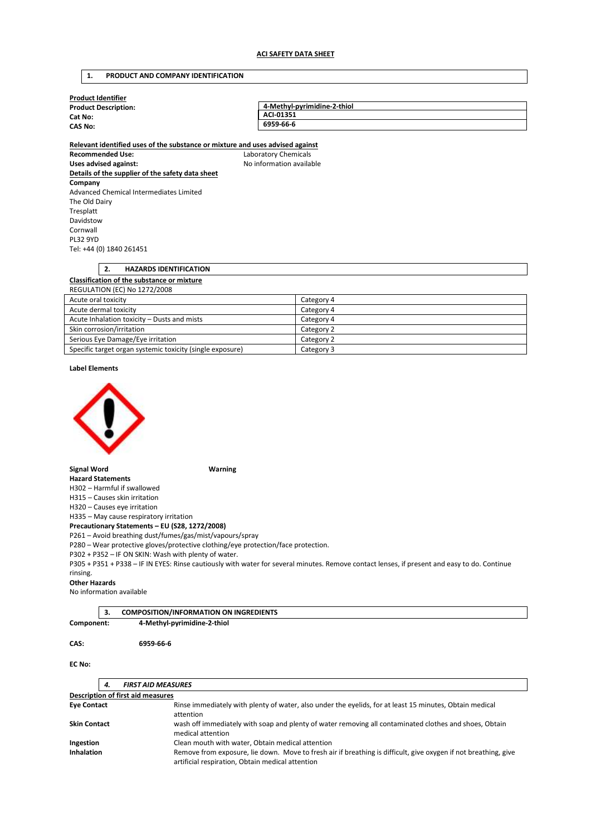# **1. PRODUCT AND COMPANY IDENTIFICATION**

| <b>Product Identifier</b>                                                                                |                             |
|----------------------------------------------------------------------------------------------------------|-----------------------------|
| <b>Product Description:</b>                                                                              | 4-Methyl-pyrimidine-2-thiol |
| Cat No:                                                                                                  | ACI-01351                   |
| <b>CAS No:</b>                                                                                           | 6959-66-6                   |
|                                                                                                          |                             |
| Relevant identified uses of the substance or mixture and uses advised against<br><b>Recommended Use:</b> | Laboratory Chemicals        |
| Uses advised against:                                                                                    | No information available    |
| Details of the supplier of the safety data sheet                                                         |                             |
| Company                                                                                                  |                             |
| Advanced Chemical Intermediates Limited                                                                  |                             |
| The Old Dairy                                                                                            |                             |
| Tresplatt                                                                                                |                             |
| Davidstow                                                                                                |                             |
| Cornwall                                                                                                 |                             |
| <b>PL32 9YD</b>                                                                                          |                             |
| Tel: +44 (0) 1840 261451                                                                                 |                             |
|                                                                                                          |                             |
| 2.<br><b>HAZARDS IDENTIFICATION</b>                                                                      |                             |
| Classification of the substance or mixture                                                               |                             |
| <b>REGULATION (EC) No 1272/2008</b>                                                                      |                             |
| Acute oral toxicity                                                                                      | Category 4                  |
| Acute dermal toxicity                                                                                    | Category 4                  |
| Acute Inhalation toxicity - Dusts and mists                                                              | Category 4                  |
| Skin corrosion/irritation                                                                                | Category 2                  |
| Serious Eye Damage/Eye irritation                                                                        | Category 2                  |

Specific target organ systemic toxicity (single exposure) Category 3

**Label Elements** 



**Signal Word Warning** 

**Hazard Statements**  H302 – Harmful if swallowed

H315 – Causes skin irritation

H320 – Causes eye irritation

H335 – May cause respiratory irritation **Precautionary Statements – EU (S28, 1272/2008)** 

P261 – Avoid breathing dust/fumes/gas/mist/vapours/spray

P280 – Wear protective gloves/protective clothing/eye protection/face protection.

P302 + P352 – IF ON SKIN: Wash with plenty of water.

P305 + P351 + P338 – IF IN EYES: Rinse cautiously with water for several minutes. Remove contact lenses, if present and easy to do. Continue rinsing.

### **Other Hazards**

No information available

|            | <b>COMPOSITION/INFORMATION ON INGREDIENTS</b> |  |
|------------|-----------------------------------------------|--|
| Component: | 4-Methyl-pyrimidine-2-thiol                   |  |

**CAS: 6959-66-6** 

## **EC No:**

|                     | 4. | <b>FIRST AID MEASURES</b>                                                                                                                                           |
|---------------------|----|---------------------------------------------------------------------------------------------------------------------------------------------------------------------|
|                     |    | Description of first aid measures                                                                                                                                   |
| <b>Eye Contact</b>  |    | Rinse immediately with plenty of water, also under the eyelids, for at least 15 minutes, Obtain medical<br>attention                                                |
| <b>Skin Contact</b> |    | wash off immediately with soap and plenty of water removing all contaminated clothes and shoes, Obtain<br>medical attention                                         |
| Ingestion           |    | Clean mouth with water, Obtain medical attention                                                                                                                    |
| <b>Inhalation</b>   |    | Remove from exposure, lie down. Move to fresh air if breathing is difficult, give oxygen if not breathing, give<br>artificial respiration, Obtain medical attention |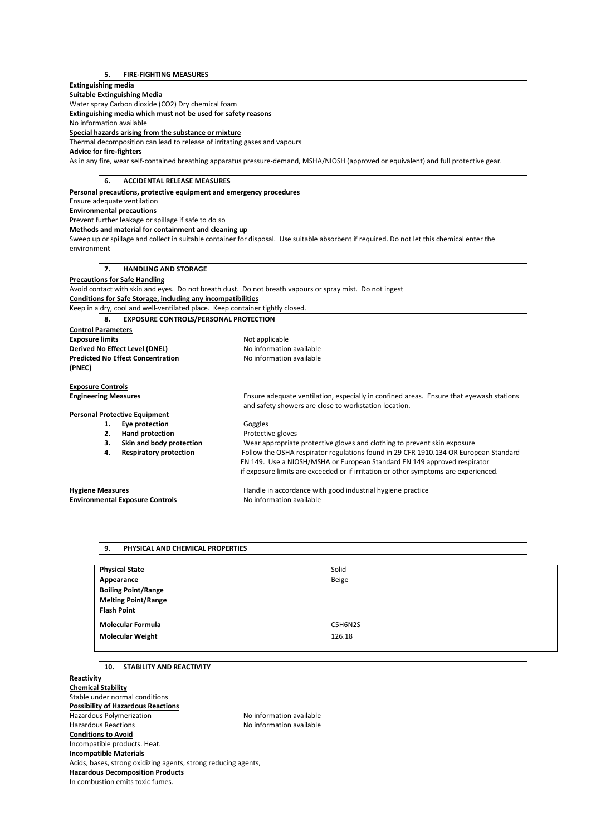# **5. FIRE-FIGHTING MEASURES**

## **Extinguishing media**

**Suitable Extinguishing Media** 

Water spray Carbon dioxide (CO2) Dry chemical foam

**Extinguishing media which must not be used for safety reasons** 

No information available

**Special hazards arising from the substance or mixture** 

Thermal decomposition can lead to release of irritating gases and vapours

# **Advice for fire-fighters**

As in any fire, wear self-contained breathing apparatus pressure-demand, MSHA/NIOSH (approved or equivalent) and full protective gear.

| <b>ACCIDENTAL RELEASE MEASURES</b><br>6.                                      |                                                                                                                                             |
|-------------------------------------------------------------------------------|---------------------------------------------------------------------------------------------------------------------------------------------|
| Personal precautions, protective equipment and emergency procedures           |                                                                                                                                             |
| Ensure adequate ventilation                                                   |                                                                                                                                             |
| <b>Environmental precautions</b>                                              |                                                                                                                                             |
| Prevent further leakage or spillage if safe to do so                          |                                                                                                                                             |
| Methods and material for containment and cleaning up                          |                                                                                                                                             |
|                                                                               | Sweep up or spillage and collect in suitable container for disposal. Use suitable absorbent if required. Do not let this chemical enter the |
| environment                                                                   |                                                                                                                                             |
|                                                                               |                                                                                                                                             |
| <b>HANDLING AND STORAGE</b><br>7.                                             |                                                                                                                                             |
| <b>Precautions for Safe Handling</b>                                          |                                                                                                                                             |
|                                                                               | Avoid contact with skin and eyes. Do not breath dust. Do not breath vapours or spray mist. Do not ingest                                    |
| <b>Conditions for Safe Storage, including any incompatibilities</b>           |                                                                                                                                             |
| Keep in a dry, cool and well-ventilated place. Keep container tightly closed. |                                                                                                                                             |
| <b>EXPOSURE CONTROLS/PERSONAL PROTECTION</b><br>8.                            |                                                                                                                                             |
| <b>Control Parameters</b>                                                     |                                                                                                                                             |
| <b>Exposure limits</b>                                                        | Not applicable                                                                                                                              |
| Derived No Effect Level (DNEL)                                                | No information available                                                                                                                    |
| <b>Predicted No Effect Concentration</b>                                      | No information available                                                                                                                    |
| (PNEC)                                                                        |                                                                                                                                             |
|                                                                               |                                                                                                                                             |
| <b>Exposure Controls</b>                                                      |                                                                                                                                             |
| <b>Engineering Measures</b>                                                   | Ensure adequate ventilation, especially in confined areas. Ensure that eyewash stations                                                     |
|                                                                               | and safety showers are close to workstation location.                                                                                       |
| <b>Personal Protective Equipment</b>                                          |                                                                                                                                             |
| Eye protection<br>1.                                                          | Goggles                                                                                                                                     |
| <b>Hand protection</b><br>2.                                                  | Protective gloves                                                                                                                           |
| Skin and body protection<br>3.                                                | Wear appropriate protective gloves and clothing to prevent skin exposure                                                                    |
| <b>Respiratory protection</b><br>4.                                           | Follow the OSHA respirator regulations found in 29 CFR 1910.134 OR European Standard                                                        |
|                                                                               | EN 149. Use a NIOSH/MSHA or European Standard EN 149 approved respirator                                                                    |
|                                                                               | if exposure limits are exceeded or if irritation or other symptoms are experienced.                                                         |
| <b>Hygiene Measures</b>                                                       | Handle in accordance with good industrial hygiene practice                                                                                  |
| <b>Environmental Exposure Controls</b>                                        | No information available                                                                                                                    |
|                                                                               |                                                                                                                                             |

## **9. PHYSICAL AND CHEMICAL PROPERTIES**

| <b>Physical State</b>      | Solid   |
|----------------------------|---------|
| Appearance                 | Beige   |
| <b>Boiling Point/Range</b> |         |
| <b>Melting Point/Range</b> |         |
| <b>Flash Point</b>         |         |
|                            |         |
| <b>Molecular Formula</b>   | C5H6N2S |
| <b>Molecular Weight</b>    | 126.18  |
|                            |         |

# **10. STABILITY AND REACTIVITY**

**Reactivity Chemical Stability**  Stable under normal conditions **Possibility of Hazardous Reactions**  Hazardous Polymerization and the Society of the No information available<br>Hazardous Reactions available No information available No information available **Conditions to Avoid**  Incompatible products. Heat. **Incompatible Materials**  Acids, bases, strong oxidizing agents, strong reducing agents, **Hazardous Decomposition Products**  In combustion emits toxic fumes.